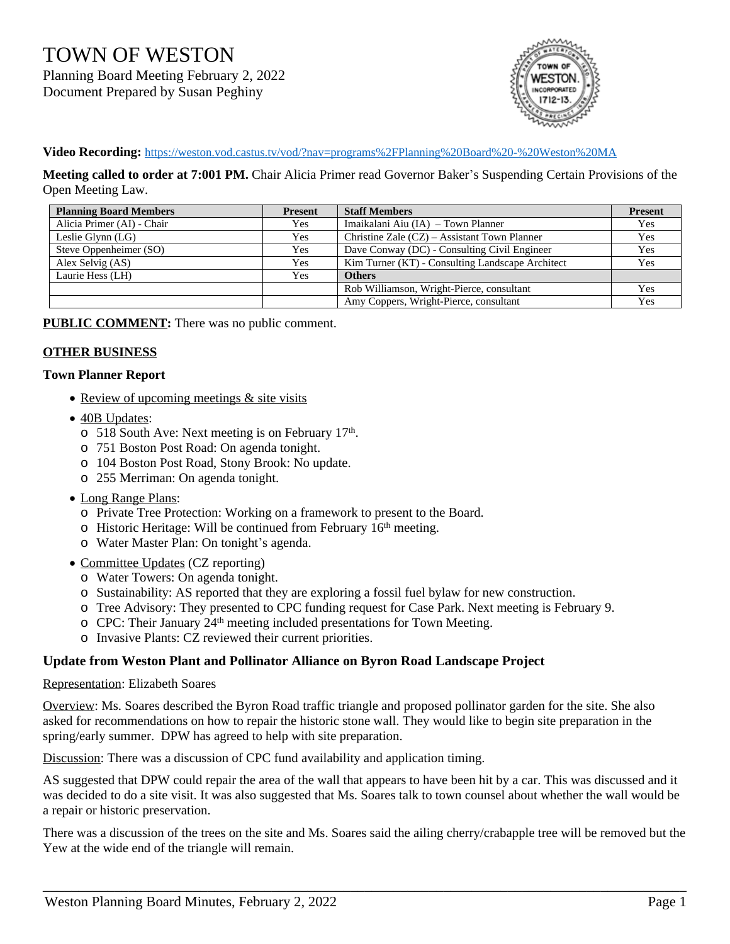TOWN OF WESTON Planning Board Meeting February 2, 2022 Document Prepared by Susan Peghiny



**Video Recording:** <https://weston.vod.castus.tv/vod/?nav=programs%2FPlanning%20Board%20-%20Weston%20MA>

**Meeting called to order at 7:001 PM.** Chair Alicia Primer read Governor Baker's Suspending Certain Provisions of the Open Meeting Law.

| <b>Planning Board Members</b> | <b>Present</b> | <b>Staff Members</b>                             | <b>Present</b> |
|-------------------------------|----------------|--------------------------------------------------|----------------|
| Alicia Primer (AI) - Chair    | Yes            | Imaikalani Aiu (IA) – Town Planner               | Yes            |
| Leslie Glynn $(LG)$           | Yes            | Christine Zale (CZ) – Assistant Town Planner     | Yes            |
| Steve Oppenheimer (SO)        | Yes            | Dave Conway (DC) - Consulting Civil Engineer     | Yes            |
| Alex Selvig (AS)              | Yes            | Kim Turner (KT) - Consulting Landscape Architect | Yes            |
| Laurie Hess (LH)              | Yes            | <b>Others</b>                                    |                |
|                               |                | Rob Williamson, Wright-Pierce, consultant        | Yes            |
|                               |                | Amy Coppers, Wright-Pierce, consultant           | Yes            |

**PUBLIC COMMENT:** There was no public comment.

### **OTHER BUSINESS**

#### **Town Planner Report**

- Review of upcoming meetings & site visits
- 40B Updates:
	- o 518 South Ave: Next meeting is on February 17th.
	- o 751 Boston Post Road: On agenda tonight.
	- o 104 Boston Post Road, Stony Brook: No update.
	- o 255 Merriman: On agenda tonight.
- Long Range Plans:
	- o Private Tree Protection: Working on a framework to present to the Board.
	- $\circ$  Historic Heritage: Will be continued from February 16<sup>th</sup> meeting.
	- o Water Master Plan: On tonight's agenda.
- Committee Updates (CZ reporting)
	- o Water Towers: On agenda tonight.
	- o Sustainability: AS reported that they are exploring a fossil fuel bylaw for new construction.
	- o Tree Advisory: They presented to CPC funding request for Case Park. Next meeting is February 9.
	- o CPC: Their January 24<sup>th</sup> meeting included presentations for Town Meeting.
	- o Invasive Plants: CZ reviewed their current priorities.

### **Update from Weston Plant and Pollinator Alliance on Byron Road Landscape Project**

#### Representation: Elizabeth Soares

Overview: Ms. Soares described the Byron Road traffic triangle and proposed pollinator garden for the site. She also asked for recommendations on how to repair the historic stone wall. They would like to begin site preparation in the spring/early summer. DPW has agreed to help with site preparation.

Discussion: There was a discussion of CPC fund availability and application timing.

AS suggested that DPW could repair the area of the wall that appears to have been hit by a car. This was discussed and it was decided to do a site visit. It was also suggested that Ms. Soares talk to town counsel about whether the wall would be a repair or historic preservation.

There was a discussion of the trees on the site and Ms. Soares said the ailing cherry/crabapple tree will be removed but the Yew at the wide end of the triangle will remain.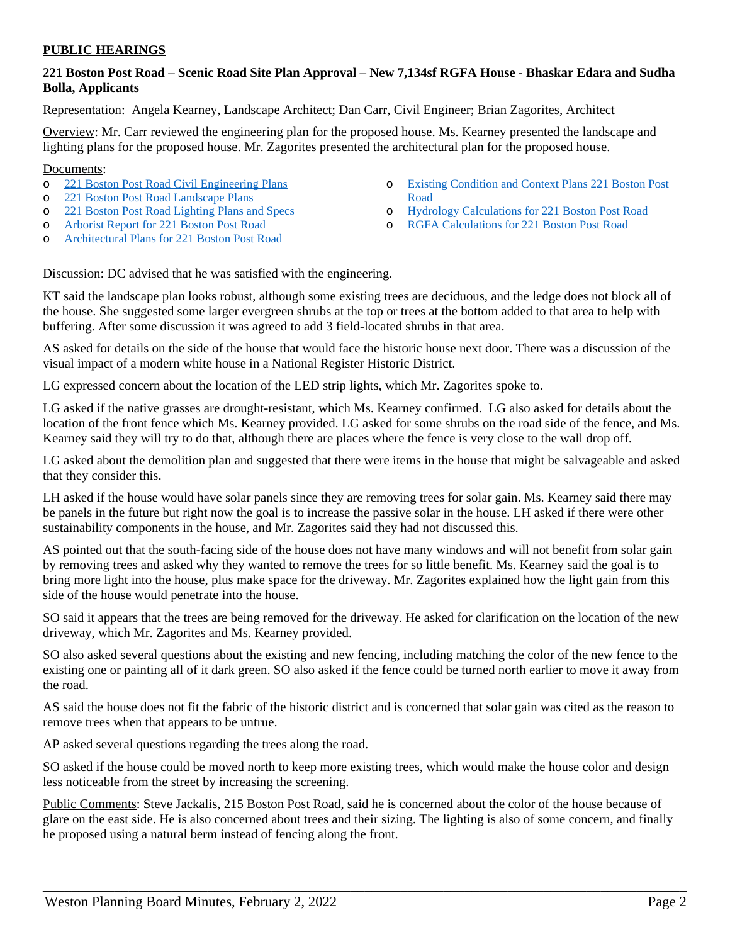### **PUBLIC HEARINGS**

# **221 Boston Post Road – Scenic Road Site Plan Approval – New 7,134sf RGFA House - Bhaskar Edara and Sudha Bolla, Applicants**

Representation: Angela Kearney, Landscape Architect; Dan Carr, Civil Engineer; Brian Zagorites, Architect

Overview: Mr. Carr reviewed the engineering plan for the proposed house. Ms. Kearney presented the landscape and lighting plans for the proposed house. Mr. Zagorites presented the architectural plan for the proposed house.

#### Documents:

- o [221 Boston Post Road Civil Engineering Plans](https://www.westonma.gov/DocumentCenter/View/31558/221-Boston-Post-Road-Civil-Engineering-Plans)
- o [221 Boston Post Road Landscape Plans](https://www.westonma.gov/DocumentCenter/View/31559/221-Boston-Post-Road-Landscape-Plans)
- o [221 Boston Post Road Lighting Plans and Specs](https://www.westonma.gov/DocumentCenter/View/31557/221-Boston-Post-Road-Lighting-Plans-and-Specs)
- o [Arborist Report for 221 Boston Post Road](https://www.westonma.gov/DocumentCenter/View/31560/Arborist-Report-for-221-Boston-Post-Road)
- o [Architectural Plans for 221 Boston Post Road](https://www.westonma.gov/DocumentCenter/View/31556/Architectural-Plans-for-221-Boston-Post-Road)
- o [Existing Condition and Context Plans 221 Boston Post](https://www.westonma.gov/DocumentCenter/View/31561/Existing-Condition-and-Context-Plans-221-Boston-Post-Road)  Road
- o [Hydrology Calculations for 221 Boston Post Road](https://www.westonma.gov/DocumentCenter/View/31562/Hydrology-Calculations-for-221-Boston-Post-Road)
- o [RGFA Calculations for 221 Boston Post Road](https://www.westonma.gov/DocumentCenter/View/31563/RGFA-Calculations-for-221-Boston-Post-Road)

Discussion: DC advised that he was satisfied with the engineering.

KT said the landscape plan looks robust, although some existing trees are deciduous, and the ledge does not block all of the house. She suggested some larger evergreen shrubs at the top or trees at the bottom added to that area to help with buffering. After some discussion it was agreed to add 3 field-located shrubs in that area.

AS asked for details on the side of the house that would face the historic house next door. There was a discussion of the visual impact of a modern white house in a National Register Historic District.

LG expressed concern about the location of the LED strip lights, which Mr. Zagorites spoke to.

LG asked if the native grasses are drought-resistant, which Ms. Kearney confirmed. LG also asked for details about the location of the front fence which Ms. Kearney provided. LG asked for some shrubs on the road side of the fence, and Ms. Kearney said they will try to do that, although there are places where the fence is very close to the wall drop off.

LG asked about the demolition plan and suggested that there were items in the house that might be salvageable and asked that they consider this.

LH asked if the house would have solar panels since they are removing trees for solar gain. Ms. Kearney said there may be panels in the future but right now the goal is to increase the passive solar in the house. LH asked if there were other sustainability components in the house, and Mr. Zagorites said they had not discussed this.

AS pointed out that the south-facing side of the house does not have many windows and will not benefit from solar gain by removing trees and asked why they wanted to remove the trees for so little benefit. Ms. Kearney said the goal is to bring more light into the house, plus make space for the driveway. Mr. Zagorites explained how the light gain from this side of the house would penetrate into the house.

SO said it appears that the trees are being removed for the driveway. He asked for clarification on the location of the new driveway, which Mr. Zagorites and Ms. Kearney provided.

SO also asked several questions about the existing and new fencing, including matching the color of the new fence to the existing one or painting all of it dark green. SO also asked if the fence could be turned north earlier to move it away from the road.

AS said the house does not fit the fabric of the historic district and is concerned that solar gain was cited as the reason to remove trees when that appears to be untrue.

AP asked several questions regarding the trees along the road.

SO asked if the house could be moved north to keep more existing trees, which would make the house color and design less noticeable from the street by increasing the screening.

Public Comments: Steve Jackalis, 215 Boston Post Road, said he is concerned about the color of the house because of glare on the east side. He is also concerned about trees and their sizing. The lighting is also of some concern, and finally he proposed using a natural berm instead of fencing along the front.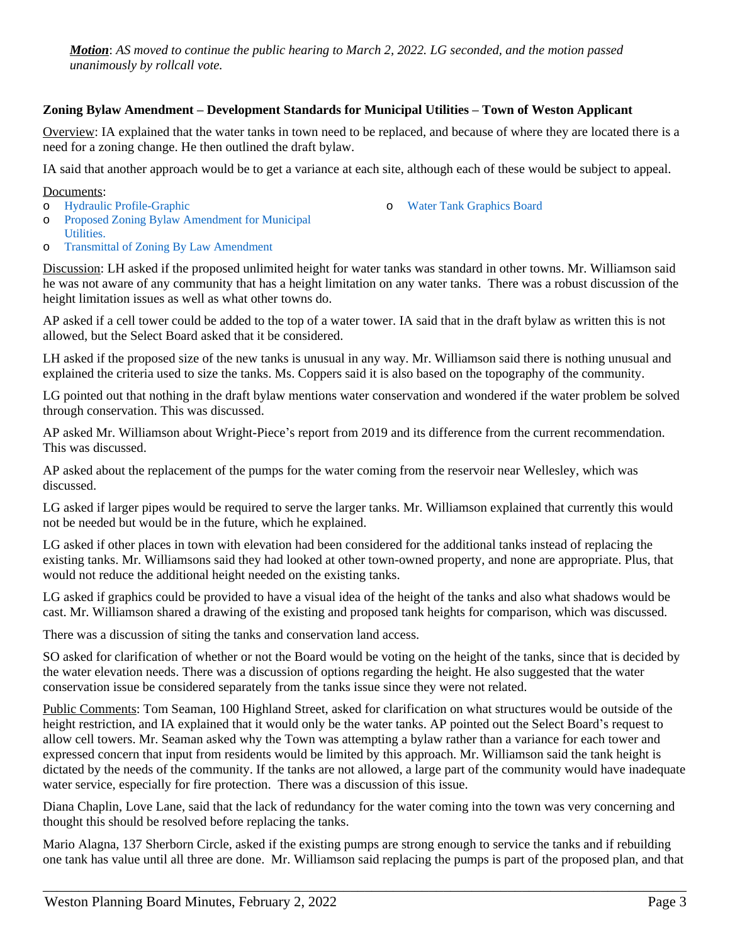*Motion*: *AS moved to continue the public hearing to March 2, 2022. LG seconded, and the motion passed unanimously by rollcall vote.*

# **Zoning Bylaw Amendment – Development Standards for Municipal Utilities – Town of Weston Applicant**

Overview: IA explained that the water tanks in town need to be replaced, and because of where they are located there is a need for a zoning change. He then outlined the draft bylaw.

IA said that another approach would be to get a variance at each site, although each of these would be subject to appeal.

Documents:

o [Hydraulic Profile-Graphic](https://www.westonma.gov/DocumentCenter/View/32008/Hydraulic-Profile-Graphic)

- o [Water Tank Graphics Board](https://www.westonma.gov/DocumentCenter/View/32010/Water-Tank-Graphics-Board)
- o [Proposed Zoning Bylaw Amendment for Municipal](https://www.westonma.gov/DocumentCenter/View/31960/Proposed-Zoning-Bylaw-Amendment-for-Municipal-Utilities-)  Utilities.
- o [Transmittal of Zoning By Law Amendment](https://www.westonma.gov/DocumentCenter/View/32009/Transmittal-of-Zoning-By-Law-Amendment)

Discussion: LH asked if the proposed unlimited height for water tanks was standard in other towns. Mr. Williamson said he was not aware of any community that has a height limitation on any water tanks. There was a robust discussion of the height limitation issues as well as what other towns do.

AP asked if a cell tower could be added to the top of a water tower. IA said that in the draft bylaw as written this is not allowed, but the Select Board asked that it be considered.

LH asked if the proposed size of the new tanks is unusual in any way. Mr. Williamson said there is nothing unusual and explained the criteria used to size the tanks. Ms. Coppers said it is also based on the topography of the community.

LG pointed out that nothing in the draft bylaw mentions water conservation and wondered if the water problem be solved through conservation. This was discussed.

AP asked Mr. Williamson about Wright-Piece's report from 2019 and its difference from the current recommendation. This was discussed.

AP asked about the replacement of the pumps for the water coming from the reservoir near Wellesley, which was discussed.

LG asked if larger pipes would be required to serve the larger tanks. Mr. Williamson explained that currently this would not be needed but would be in the future, which he explained.

LG asked if other places in town with elevation had been considered for the additional tanks instead of replacing the existing tanks. Mr. Williamsons said they had looked at other town-owned property, and none are appropriate. Plus, that would not reduce the additional height needed on the existing tanks.

LG asked if graphics could be provided to have a visual idea of the height of the tanks and also what shadows would be cast. Mr. Williamson shared a drawing of the existing and proposed tank heights for comparison, which was discussed.

There was a discussion of siting the tanks and conservation land access.

SO asked for clarification of whether or not the Board would be voting on the height of the tanks, since that is decided by the water elevation needs. There was a discussion of options regarding the height. He also suggested that the water conservation issue be considered separately from the tanks issue since they were not related.

Public Comments: Tom Seaman, 100 Highland Street, asked for clarification on what structures would be outside of the height restriction, and IA explained that it would only be the water tanks. AP pointed out the Select Board's request to allow cell towers. Mr. Seaman asked why the Town was attempting a bylaw rather than a variance for each tower and expressed concern that input from residents would be limited by this approach. Mr. Williamson said the tank height is dictated by the needs of the community. If the tanks are not allowed, a large part of the community would have inadequate water service, especially for fire protection. There was a discussion of this issue.

Diana Chaplin, Love Lane, said that the lack of redundancy for the water coming into the town was very concerning and thought this should be resolved before replacing the tanks.

Mario Alagna, 137 Sherborn Circle, asked if the existing pumps are strong enough to service the tanks and if rebuilding one tank has value until all three are done. Mr. Williamson said replacing the pumps is part of the proposed plan, and that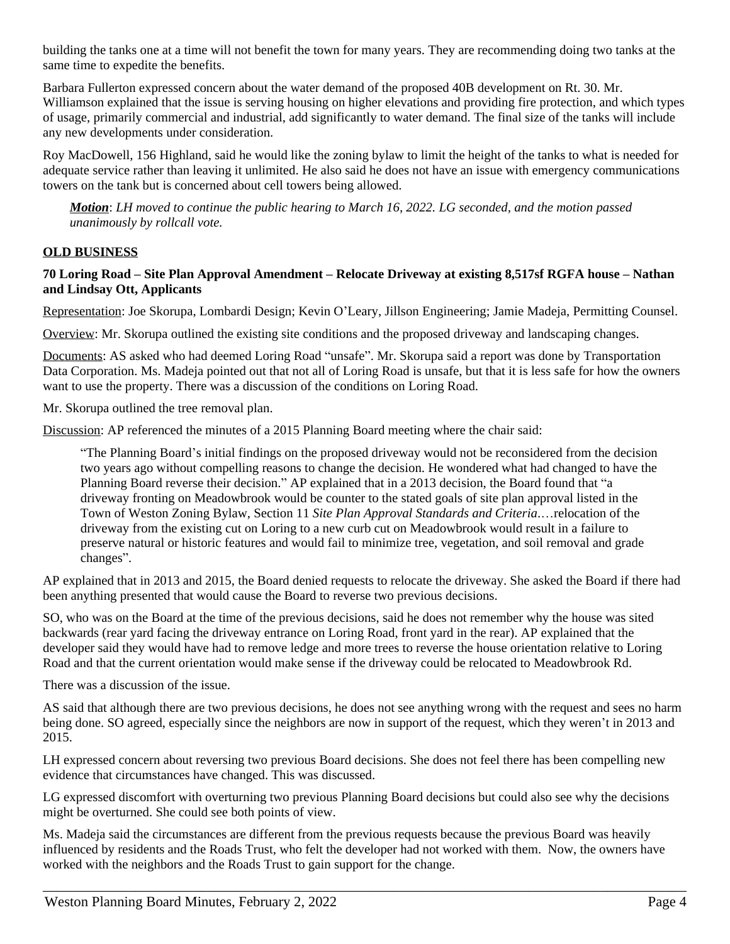building the tanks one at a time will not benefit the town for many years. They are recommending doing two tanks at the same time to expedite the benefits.

Barbara Fullerton expressed concern about the water demand of the proposed 40B development on Rt. 30. Mr. Williamson explained that the issue is serving housing on higher elevations and providing fire protection, and which types of usage, primarily commercial and industrial, add significantly to water demand. The final size of the tanks will include any new developments under consideration.

Roy MacDowell, 156 Highland, said he would like the zoning bylaw to limit the height of the tanks to what is needed for adequate service rather than leaving it unlimited. He also said he does not have an issue with emergency communications towers on the tank but is concerned about cell towers being allowed.

*Motion*: *LH moved to continue the public hearing to March 16, 2022. LG seconded, and the motion passed unanimously by rollcall vote.*

# **OLD BUSINESS**

## **70 Loring Road – Site Plan Approval Amendment – Relocate Driveway at existing 8,517sf RGFA house – Nathan and Lindsay Ott, Applicants**

Representation: Joe Skorupa, Lombardi Design; Kevin O'Leary, Jillson Engineering; Jamie Madeja, Permitting Counsel.

Overview: Mr. Skorupa outlined the existing site conditions and the proposed driveway and landscaping changes.

Documents: AS asked who had deemed Loring Road "unsafe". Mr. Skorupa said a report was done by Transportation Data Corporation. Ms. Madeja pointed out that not all of Loring Road is unsafe, but that it is less safe for how the owners want to use the property. There was a discussion of the conditions on Loring Road.

Mr. Skorupa outlined the tree removal plan.

Discussion: AP referenced the minutes of a 2015 Planning Board meeting where the chair said:

"The Planning Board's initial findings on the proposed driveway would not be reconsidered from the decision two years ago without compelling reasons to change the decision. He wondered what had changed to have the Planning Board reverse their decision." AP explained that in a 2013 decision, the Board found that "a driveway fronting on Meadowbrook would be counter to the stated goals of site plan approval listed in the Town of Weston Zoning Bylaw, Section 11 *Site Plan Approval Standards and Criteria*.…relocation of the driveway from the existing cut on Loring to a new curb cut on Meadowbrook would result in a failure to preserve natural or historic features and would fail to minimize tree, vegetation, and soil removal and grade changes".

AP explained that in 2013 and 2015, the Board denied requests to relocate the driveway. She asked the Board if there had been anything presented that would cause the Board to reverse two previous decisions.

SO, who was on the Board at the time of the previous decisions, said he does not remember why the house was sited backwards (rear yard facing the driveway entrance on Loring Road, front yard in the rear). AP explained that the developer said they would have had to remove ledge and more trees to reverse the house orientation relative to Loring Road and that the current orientation would make sense if the driveway could be relocated to Meadowbrook Rd.

There was a discussion of the issue.

AS said that although there are two previous decisions, he does not see anything wrong with the request and sees no harm being done. SO agreed, especially since the neighbors are now in support of the request, which they weren't in 2013 and 2015.

LH expressed concern about reversing two previous Board decisions. She does not feel there has been compelling new evidence that circumstances have changed. This was discussed.

LG expressed discomfort with overturning two previous Planning Board decisions but could also see why the decisions might be overturned. She could see both points of view.

Ms. Madeja said the circumstances are different from the previous requests because the previous Board was heavily influenced by residents and the Roads Trust, who felt the developer had not worked with them. Now, the owners have worked with the neighbors and the Roads Trust to gain support for the change.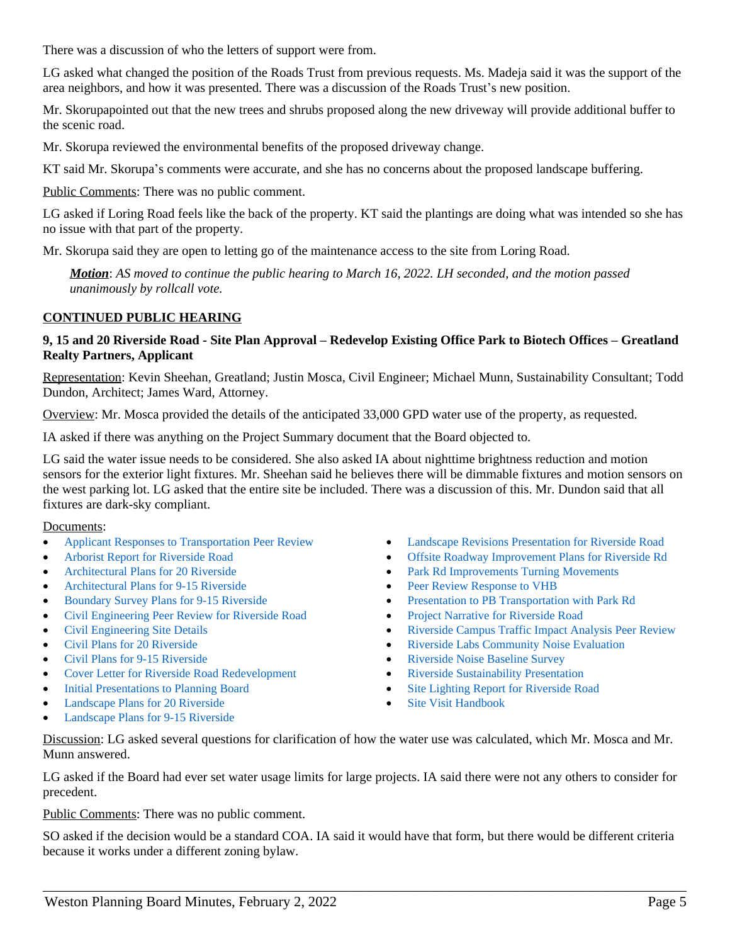There was a discussion of who the letters of support were from.

LG asked what changed the position of the Roads Trust from previous requests. Ms. Madeja said it was the support of the area neighbors, and how it was presented. There was a discussion of the Roads Trust's new position.

Mr. Skorupapointed out that the new trees and shrubs proposed along the new driveway will provide additional buffer to the scenic road.

Mr. Skorupa reviewed the environmental benefits of the proposed driveway change.

KT said Mr. Skorupa's comments were accurate, and she has no concerns about the proposed landscape buffering.

Public Comments: There was no public comment.

LG asked if Loring Road feels like the back of the property. KT said the plantings are doing what was intended so she has no issue with that part of the property.

Mr. Skorupa said they are open to letting go of the maintenance access to the site from Loring Road.

*Motion*: *AS moved to continue the public hearing to March 16, 2022. LH seconded, and the motion passed unanimously by rollcall vote.*

# **CONTINUED PUBLIC HEARING**

### **9, 15 and 20 Riverside Road - Site Plan Approval – Redevelop Existing Office Park to Biotech Offices – Greatland Realty Partners, Applicant**

Representation: Kevin Sheehan, Greatland; Justin Mosca, Civil Engineer; Michael Munn, Sustainability Consultant; Todd Dundon, Architect; James Ward, Attorney.

Overview: Mr. Mosca provided the details of the anticipated 33,000 GPD water use of the property, as requested.

IA asked if there was anything on the Project Summary document that the Board objected to.

LG said the water issue needs to be considered. She also asked IA about nighttime brightness reduction and motion sensors for the exterior light fixtures. Mr. Sheehan said he believes there will be dimmable fixtures and motion sensors on the west parking lot. LG asked that the entire site be included. There was a discussion of this. Mr. Dundon said that all fixtures are dark-sky compliant.

### Documents:

- [Applicant Responses to Transportation Peer Review](https://www.westonma.gov/DocumentCenter/View/31398/Applicant-Responses-to-Transportation-Peer-Review-)
- [Arborist Report for Riverside Road](https://www.westonma.gov/DocumentCenter/View/31986/Arborist-Report-for-Riverside-Road)
- [Architectural Plans for 20 Riverside](https://www.westonma.gov/DocumentCenter/View/30833/Architectural-Plans-for-20-Riverside)
- [Architectural Plans for 9-15 Riverside](https://www.westonma.gov/DocumentCenter/View/30824/Architectural-Plans-for-9-15-Riverside)
- [Boundary Survey Plans for 9-15 Riverside](https://www.westonma.gov/DocumentCenter/View/30825/Boundary-Survey-Plans-for-9-15-Riverside)
- [Civil Engineering Peer Review for Riverside Road](https://www.westonma.gov/DocumentCenter/View/31131/Civil-Engineering-Peer-Review-for-Riverside-Road)
- [Civil Engineering Site Details](https://www.westonma.gov/DocumentCenter/View/31987/Civil-Engineering-Site-Details)
- [Civil Plans for 20 Riverside](https://www.westonma.gov/DocumentCenter/View/30834/Civil-Plans-for-20-Riverside)
- [Civil Plans for 9-15 Riverside](https://www.westonma.gov/DocumentCenter/View/30826/Civil-Plans-for-9-15-Riverside)
- [Cover Letter for Riverside Road Redevelopment](https://www.westonma.gov/DocumentCenter/View/30828/Cover-Letter-for-Riverside-Road-Redevelopment-)
- [Initial Presentations to Planning Board](https://www.westonma.gov/DocumentCenter/View/31173/Initial-Presentations-to-Planning-Board)
- [Landscape Plans for 20 Riverside](https://www.westonma.gov/DocumentCenter/View/30832/Landscape-Plans-for-20-Riverside)
- [Landscape Plans for 9-15 Riverside](https://www.westonma.gov/DocumentCenter/View/30827/Landscape-Plans-for-9-15-Riverside)
- [Landscape Revisions Presentation for Riverside Road](https://www.westonma.gov/DocumentCenter/View/31864/Landscape-Revisions-Presentation-for-Riverside-Road)
- [Offsite Roadway Improvement Plans for Riverside Rd](https://www.westonma.gov/DocumentCenter/View/30902/Offsite-Roadway-Improvement-Plans-for-Riverside-Rd)
- [Park Rd Improvements Turning Movements](https://www.westonma.gov/DocumentCenter/View/31355/Park-Rd-Improvements_Turning-Movements)
- [Peer Review Response to VHB](https://www.westonma.gov/DocumentCenter/View/31985/Peer-Review-Response-to-VHB)
- [Presentation to PB Transportation with Park Rd](https://www.westonma.gov/DocumentCenter/View/31170/Presentation-to-PB-Transportation-with-Park-Rd)
- [Project Narrative for Riverside Road](https://www.westonma.gov/DocumentCenter/View/30829/Project-Narrative-for-Riverside-Road-)
- [Riverside Campus Traffic Impact Analysis Peer Review](https://www.westonma.gov/DocumentCenter/View/31255/Riverside-Campus-Traffic-Impact-Analysis-Peer-Review)
- [Riverside Labs Community Noise Evaluation](https://www.westonma.gov/DocumentCenter/View/31988/Riverside-Labs-Community-Noise-Evaluation)
- [Riverside Noise Baseline Survey](https://www.westonma.gov/DocumentCenter/View/31989/Riverside-Noise-Baseline-Survey)
- [Riverside Sustainability Presentation](https://www.westonma.gov/DocumentCenter/View/31990/Riverside-Sustainability-Presentation)
- [Site Lighting Report for Riverside Road](https://www.westonma.gov/DocumentCenter/View/30823/Site-Lighting-Report-for-Riverside-Road)
- [Site Visit Handbook](https://www.westonma.gov/DocumentCenter/View/31171/Site-Visit-Handbook)

Discussion: LG asked several questions for clarification of how the water use was calculated, which Mr. Mosca and Mr. Munn answered.

LG asked if the Board had ever set water usage limits for large projects. IA said there were not any others to consider for precedent.

Public Comments: There was no public comment.

SO asked if the decision would be a standard COA. IA said it would have that form, but there would be different criteria because it works under a different zoning bylaw.